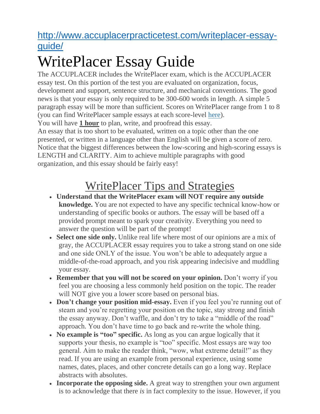### [http://www.accuplacerpracticetest.com/writeplacer-essay](http://www.accuplacerpracticetest.com/writeplacer-essay-guide/)[guide/](http://www.accuplacerpracticetest.com/writeplacer-essay-guide/)

# WritePlacer Essay Guide

The ACCUPLACER includes the WritePlacer exam, which is the ACCUPLACER essay test. On this portion of the test you are evaluated on organization, focus, development and support, sentence structure, and mechanical conventions. The good news is that your essay is only required to be 300-600 words in length. A simple 5 paragraph essay will be more than sufficient. Scores on WritePlacer range from 1 to 8 (you can find WritePlacer sample essays at each score-level [here\)](https://secure-media.collegeboard.org/digitalServices/pdf/accuplacer/accuplacer-tsi-writeplacer-sample-essays.pdf).

You will have **1 hour** to plan, write, and proofread this essay.

An essay that is too short to be evaluated, written on a topic other than the one presented, or written in a language other than English will be given a score of zero. Notice that the biggest differences between the low-scoring and high-scoring essays is LENGTH and CLARITY. Aim to achieve multiple paragraphs with good organization, and this essay should be fairly easy!

### WritePlacer Tips and Strategies

- **Understand that the WritePlacer exam will NOT require any outside knowledge.** You are not expected to have any specific technical know-how or understanding of specific books or authors. The essay will be based off a provided prompt meant to spark your creativity. Everything you need to answer the question will be part of the prompt!
- **Select one side only.** Unlike real life where most of our opinions are a mix of gray, the ACCUPLACER essay requires you to take a strong stand on one side and one side ONLY of the issue. You won't be able to adequately argue a middle-of-the-road approach, and you risk appearing indecisive and muddling your essay.
- **Remember that you will not be scored on your opinion.** Don't worry if you feel you are choosing a less commonly held position on the topic. The reader will NOT give you a lower score based on personal bias.
- **Don't change your position mid-essay.** Even if you feel you're running out of steam and you're regretting your position on the topic, stay strong and finish the essay anyway. Don't waffle, and don't try to take a "middle of the road" approach. You don't have time to go back and re-write the whole thing.
- **No example is "too" specific.** As long as you can argue logically that it supports your thesis, no example is "too" specific. Most essays are way too general. Aim to make the reader think, "wow, what extreme detail!" as they read. If you are using an example from personal experience, using some names, dates, places, and other concrete details can go a long way. Replace abstracts with absolutes.
- **Incorporate the opposing side.** A great way to strengthen your own argument is to acknowledge that there *is* in fact complexity to the issue. However, if you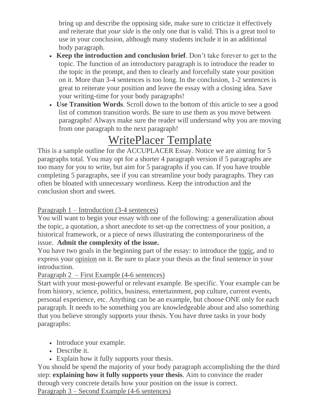bring up and describe the opposing side, make sure to criticize it effectively and reiterate that *your side* is the only one that is valid. This is a great tool to use in your conclusion, although many students include it in an additional body paragraph.

- **Keep the introduction and conclusion brief**. Don't take forever to get to the topic. The function of an introductory paragraph is to introduce the reader to the topic in the prompt, and then to clearly and forcefully state your position on it. More than 3-4 sentences is too long. In the conclusion, 1-2 sentences is great to reiterate your position and leave the essay with a closing idea. Save your writing-time for your body paragraphs!
- **Use Transition Words**. Scroll down to the bottom of this article to see a good list of common transition words. Be sure to use them as you move between paragraphs! Always make sure the reader will understand why you are moving from one paragraph to the next paragraph!

## WritePlacer Template

This is a sample outline for the ACCUPLACER Essay. Notice we are aiming for 5 paragraphs total. You may opt for a shorter 4 paragraph version if 5 paragraphs are too many for you to write, but aim for 5 paragraphs if you can. If you have trouble completing 5 paragraphs, see if you can streamline your body paragraphs. They can often be bloated with unnecessary wordiness. Keep the introduction and the conclusion short and sweet.

#### Paragraph 1 – Introduction (3-4 sentences)

You will want to begin your essay with one of the following: a generalization about the topic, a quotation, a short anecdote to set-up the correctness of your position, a historical framework, or a piece of news illustrating the contemporariness of the issue. **Admit the complexity of the issue.**

You have two goals in the beginning part of the essay: to introduce the topic, and to express your opinion on it. Be sure to place your thesis as the final sentence in your introduction.

Paragraph 2 – First Example (4-6 sentences)

Start with your most-powerful or relevant example. Be specific. Your example can be from history, science, politics, business, entertainment, pop culture, current events, personal experience, etc. Anything can be an example, but choose ONE only for each paragraph. It needs to be something you are knowledgeable about and also something that you believe strongly supports your thesis. You have three tasks in your body paragraphs:

- Introduce your example.
- Describe it.
- Explain how it fully supports your thesis.

You should be spend the majority of your body paragraph accomplishing the the third step: **explaining how it fully supports your thesis**. Aim to convince the reader through very concrete details how your position on the issue is correct.

Paragraph 3 – Second Example (4-6 sentences)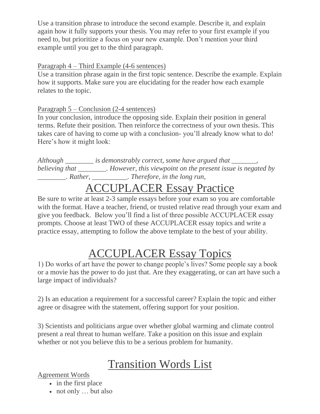Use a transition phrase to introduce the second example. Describe it, and explain again how it fully supports your thesis. You may refer to your first example if you need to, but prioritize a focus on your new example. Don't mention your third example until you get to the third paragraph.

#### Paragraph 4 – Third Example (4-6 sentences)

Use a transition phrase again in the first topic sentence. Describe the example. Explain how it supports. Make sure you are elucidating for the reader how each example relates to the topic.

#### Paragraph 5 – Conclusion (2-4 sentences)

In your conclusion, introduce the opposing side. Explain their position in general terms. Refute their position. Then reinforce the correctness of your own thesis. This takes care of having to come up with a conclusion- you'll already know what to do! Here's how it might look:

*Although \_\_\_\_\_\_\_\_ is demonstrably correct, some have argued that \_\_\_\_\_\_\_, believing that \_\_\_\_\_\_\_\_. However, this viewpoint on the present issue is negated by \_\_\_\_\_\_\_\_. Rather, \_\_\_\_\_\_\_\_\_\_. Therefore, in the long run,*

### ACCUPLACER Essay Practice

Be sure to write at least 2-3 sample essays before your exam so you are comfortable with the format. Have a teacher, friend, or trusted relative read through your exam and give you feedback. Below you'll find a list of three possible ACCUPLACER essay prompts. Choose at least TWO of these ACCUPLACER essay topics and write a practice essay, attempting to follow the above template to the best of your ability.

### ACCUPLACER Essay Topics

1) Do works of art have the power to change people's lives? Some people say a book or a movie has the power to do just that. Are they exaggerating, or can art have such a large impact of individuals?

2) Is an education a requirement for a successful career? Explain the topic and either agree or disagree with the statement, offering support for your position.

3) Scientists and politicians argue over whether global warming and climate control present a real threat to human welfare. Take a position on this issue and explain whether or not you believe this to be a serious problem for humanity.

### Transition Words List

Agreement Words

- in the first place
- not only ... but also